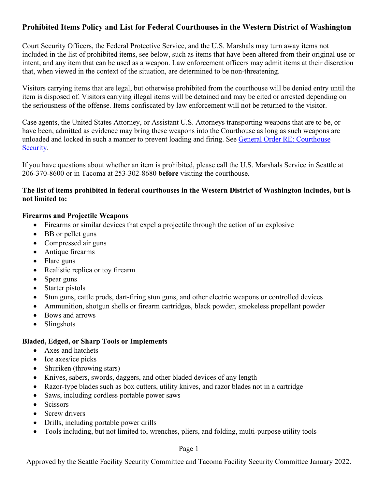## **Prohibited Items Policy and List for Federal Courthouses in the Western District of Washington**

Court Security Officers, the Federal Protective Service, and the U.S. Marshals may turn away items not included in the list of prohibited items, see below, such as items that have been altered from their original use or intent, and any item that can be used as a weapon. Law enforcement officers may admit items at their discretion that, when viewed in the context of the situation, are determined to be non-threatening.

Visitors carrying items that are legal, but otherwise prohibited from the courthouse will be denied entry until the item is disposed of. Visitors carrying illegal items will be detained and may be cited or arrested depending on the seriousness of the offense. Items confiscated by law enforcement will not be returned to the visitor.

Case agents, the United States Attorney, or Assistant U.S. Attorneys transporting weapons that are to be, or have been, admitted as evidence may bring these weapons into the Courthouse as long as such weapons are unloaded and locked in such a manner to prevent loading and firing. See [General Order RE: Courthouse](https://www.wawd.uscourts.gov/sites/wawd/files/09-07-04GOMatterofCouthouseSecurity-Firearms.pdf)  [Security.](https://www.wawd.uscourts.gov/sites/wawd/files/09-07-04GOMatterofCouthouseSecurity-Firearms.pdf)

If you have questions about whether an item is prohibited, please call the U.S. Marshals Service in Seattle at 206-370-8600 or in Tacoma at 253-302-8680 **before** visiting the courthouse.

#### **The list of items prohibited in federal courthouses in the Western District of Washington includes, but is not limited to:**

#### **Firearms and Projectile Weapons**

- Firearms or similar devices that expel a projectile through the action of an explosive
- BB or pellet guns
- Compressed air guns
- Antique firearms
- Flare guns
- Realistic replica or toy firearm
- Spear guns
- Starter pistols
- Stun guns, cattle prods, dart-firing stun guns, and other electric weapons or controlled devices
- Ammunition, shotgun shells or firearm cartridges, black powder, smokeless propellant powder
- Bows and arrows
- Slingshots

### **Bladed, Edged, or Sharp Tools or Implements**

- Axes and hatchets
- Ice axes/ice picks
- Shuriken (throwing stars)
- Knives, sabers, swords, daggers, and other bladed devices of any length
- Razor-type blades such as box cutters, utility knives, and razor blades not in a cartridge
- Saws, including cordless portable power saws
- Scissors
- Screw drivers
- Drills, including portable power drills
- Tools including, but not limited to, wrenches, pliers, and folding, multi-purpose utility tools

### Page 1

Approved by the Seattle Facility Security Committee and Tacoma Facility Security Committee January 2022.